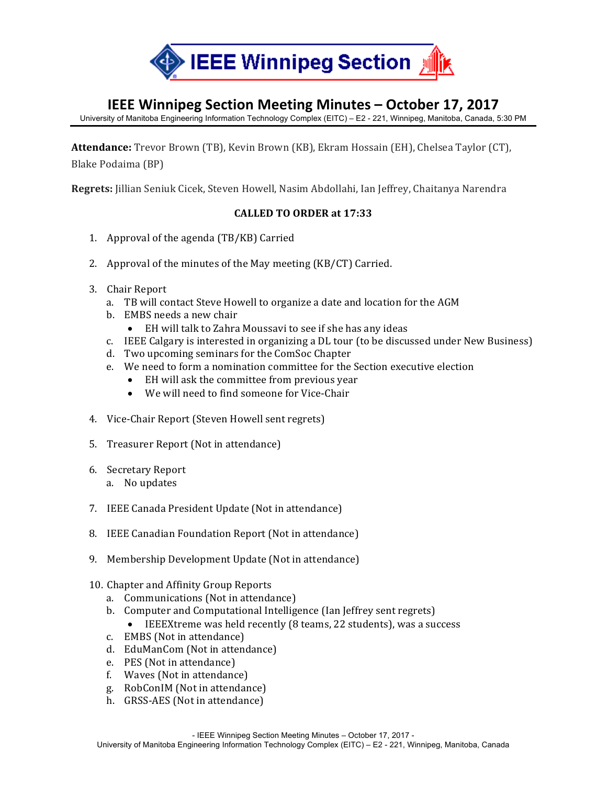

## **IEEE Winnipeg Section Meeting Minutes - October 17, 2017**

University of Manitoba Engineering Information Technology Complex (EITC) – E2 - 221, Winnipeg, Manitoba, Canada, 5:30 PM

Attendance: Trevor Brown (TB), Kevin Brown (KB), Ekram Hossain (EH), Chelsea Taylor (CT), Blake Podaima (BP)

**Regrets:** Jillian Seniuk Cicek, Steven Howell, Nasim Abdollahi, Ian Jeffrey, Chaitanya Narendra

## **CALLED TO ORDER at 17:33**

- 1. Approval of the agenda  $(TB/KB)$  Carried
- 2. Approval of the minutes of the May meeting  $(KB/CT)$  Carried.
- 3. Chair Report
	- a. TB will contact Steve Howell to organize a date and location for the AGM
	- b. EMBS needs a new chair
		- EH will talk to Zahra Moussavi to see if she has any ideas
	- c. IEEE Calgary is interested in organizing a DL tour (to be discussed under New Business)
	- d. Two upcoming seminars for the ComSoc Chapter
	- e. We need to form a nomination committee for the Section executive election
		- EH will ask the committee from previous year
		- We will need to find someone for Vice-Chair
- 4. Vice-Chair Report (Steven Howell sent regrets)
- 5. Treasurer Report (Not in attendance)
- 6. Secretary Report a. No updates
- 7. IEEE Canada President Update (Not in attendance)
- 8. IEEE Canadian Foundation Report (Not in attendance)
- 9. Membership Development Update (Not in attendance)
- 10. Chapter and Affinity Group Reports
	- a. Communications (Not in attendance)
	- b. Computer and Computational Intelligence (Ian Jeffrey sent regrets)
		- IEEEXtreme was held recently (8 teams, 22 students), was a success
	- c. EMBS (Not in attendance)
	- d. EduManCom (Not in attendance)
	- e. PES (Not in attendance)
	- f. Waves (Not in attendance)
	- g. RobConIM (Not in attendance)
	- h. GRSS-AES (Not in attendance)